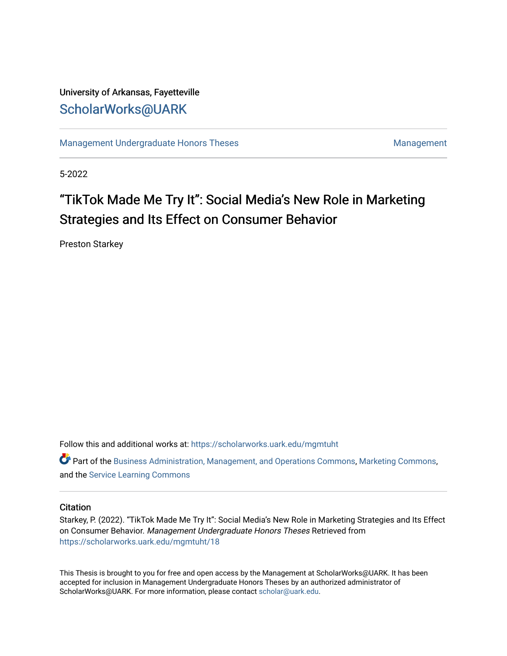## University of Arkansas, Fayetteville [ScholarWorks@UARK](https://scholarworks.uark.edu/)

[Management Undergraduate Honors Theses](https://scholarworks.uark.edu/mgmtuht) [Management](https://scholarworks.uark.edu/mgmt) Management

5-2022

# "TikTok Made Me Try It": Social Media's New Role in Marketing Strategies and Its Effect on Consumer Behavior

Preston Starkey

Follow this and additional works at: [https://scholarworks.uark.edu/mgmtuht](https://scholarworks.uark.edu/mgmtuht?utm_source=scholarworks.uark.edu%2Fmgmtuht%2F18&utm_medium=PDF&utm_campaign=PDFCoverPages) 

Part of the [Business Administration, Management, and Operations Commons](http://network.bepress.com/hgg/discipline/623?utm_source=scholarworks.uark.edu%2Fmgmtuht%2F18&utm_medium=PDF&utm_campaign=PDFCoverPages), [Marketing Commons](http://network.bepress.com/hgg/discipline/638?utm_source=scholarworks.uark.edu%2Fmgmtuht%2F18&utm_medium=PDF&utm_campaign=PDFCoverPages), and the [Service Learning Commons](http://network.bepress.com/hgg/discipline/1024?utm_source=scholarworks.uark.edu%2Fmgmtuht%2F18&utm_medium=PDF&utm_campaign=PDFCoverPages) 

#### **Citation**

Starkey, P. (2022). "TikTok Made Me Try It": Social Media's New Role in Marketing Strategies and Its Effect on Consumer Behavior. Management Undergraduate Honors Theses Retrieved from [https://scholarworks.uark.edu/mgmtuht/18](https://scholarworks.uark.edu/mgmtuht/18?utm_source=scholarworks.uark.edu%2Fmgmtuht%2F18&utm_medium=PDF&utm_campaign=PDFCoverPages)

This Thesis is brought to you for free and open access by the Management at ScholarWorks@UARK. It has been accepted for inclusion in Management Undergraduate Honors Theses by an authorized administrator of ScholarWorks@UARK. For more information, please contact [scholar@uark.edu](mailto:scholar@uark.edu).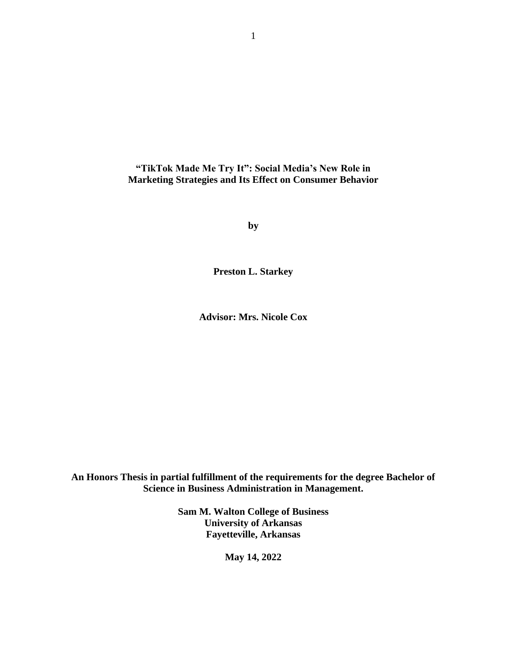**"TikTok Made Me Try It": Social Media's New Role in Marketing Strategies and Its Effect on Consumer Behavior**

**by**

**Preston L. Starkey**

**Advisor: Mrs. Nicole Cox**

**An Honors Thesis in partial fulfillment of the requirements for the degree Bachelor of Science in Business Administration in Management.**

> **Sam M. Walton College of Business University of Arkansas Fayetteville, Arkansas**

> > **May 14, 2022**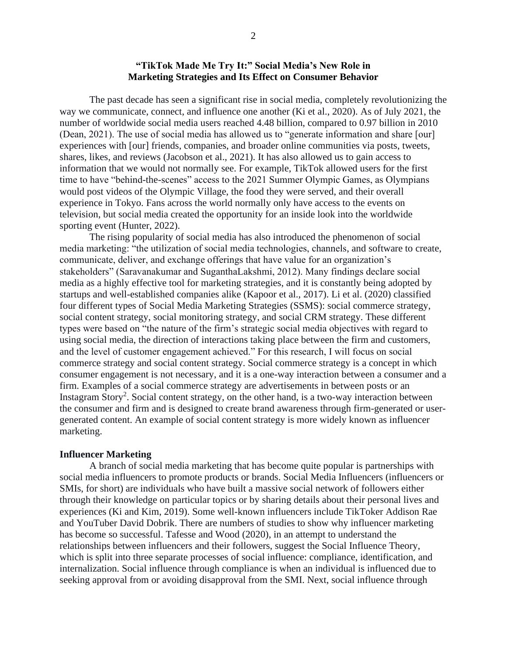#### **"TikTok Made Me Try It:" Social Media's New Role in Marketing Strategies and Its Effect on Consumer Behavior**

The past decade has seen a significant rise in social media, completely revolutionizing the way we communicate, connect, and influence one another (Ki et al., 2020). As of July 2021, the number of worldwide social media users reached 4.48 billion, compared to 0.97 billion in 2010 (Dean, 2021). The use of social media has allowed us to "generate information and share [our] experiences with [our] friends, companies, and broader online communities via posts, tweets, shares, likes, and reviews (Jacobson et al., 2021). It has also allowed us to gain access to information that we would not normally see. For example, TikTok allowed users for the first time to have "behind-the-scenes" access to the 2021 Summer Olympic Games, as Olympians would post videos of the Olympic Village, the food they were served, and their overall experience in Tokyo. Fans across the world normally only have access to the events on television, but social media created the opportunity for an inside look into the worldwide sporting event (Hunter, 2022).

The rising popularity of social media has also introduced the phenomenon of social media marketing: "the utilization of social media technologies, channels, and software to create, communicate, deliver, and exchange offerings that have value for an organization's stakeholders" (Saravanakumar and SuganthaLakshmi, 2012). Many findings declare social media as a highly effective tool for marketing strategies, and it is constantly being adopted by startups and well-established companies alike (Kapoor et al., 2017). Li et al. (2020) classified four different types of Social Media Marketing Strategies (SSMS): social commerce strategy, social content strategy, social monitoring strategy, and social CRM strategy. These different types were based on "the nature of the firm's strategic social media objectives with regard to using social media, the direction of interactions taking place between the firm and customers, and the level of customer engagement achieved." For this research, I will focus on social commerce strategy and social content strategy. Social commerce strategy is a concept in which consumer engagement is not necessary, and it is a one-way interaction between a consumer and a firm. Examples of a social commerce strategy are advertisements in between posts or an Instagram Story<sup>2</sup>. Social content strategy, on the other hand, is a two-way interaction between the consumer and firm and is designed to create brand awareness through firm-generated or usergenerated content. An example of social content strategy is more widely known as influencer marketing.

#### **Influencer Marketing**

A branch of social media marketing that has become quite popular is partnerships with social media influencers to promote products or brands. Social Media Influencers (influencers or SMIs, for short) are individuals who have built a massive social network of followers either through their knowledge on particular topics or by sharing details about their personal lives and experiences (Ki and Kim, 2019). Some well-known influencers include TikToker Addison Rae and YouTuber David Dobrik. There are numbers of studies to show why influencer marketing has become so successful. Tafesse and Wood (2020), in an attempt to understand the relationships between influencers and their followers, suggest the Social Influence Theory, which is split into three separate processes of social influence: compliance, identification, and internalization. Social influence through compliance is when an individual is influenced due to seeking approval from or avoiding disapproval from the SMI. Next, social influence through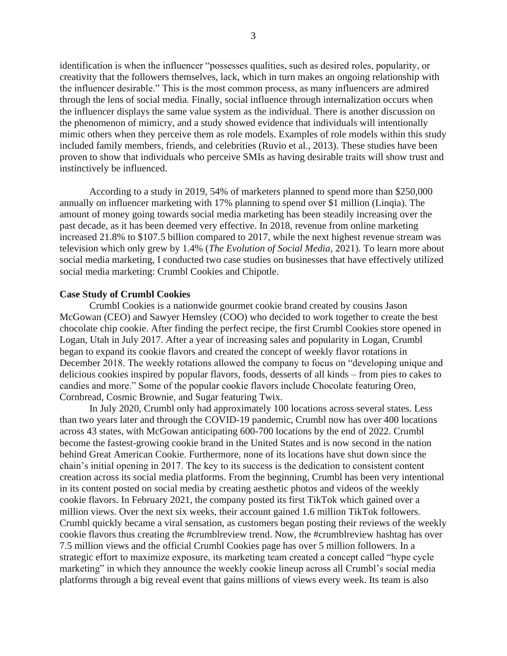identification is when the influencer "possesses qualities, such as desired roles, popularity, or creativity that the followers themselves, lack, which in turn makes an ongoing relationship with the influencer desirable." This is the most common process, as many influencers are admired through the lens of social media. Finally, social influence through internalization occurs when the influencer displays the same value system as the individual. There is another discussion on the phenomenon of mimicry, and a study showed evidence that individuals will intentionally mimic others when they perceive them as role models. Examples of role models within this study included family members, friends, and celebrities (Ruvio et al., 2013). These studies have been proven to show that individuals who perceive SMIs as having desirable traits will show trust and instinctively be influenced.

According to a study in 2019, 54% of marketers planned to spend more than \$250,000 annually on influencer marketing with 17% planning to spend over \$1 million (Linqia). The amount of money going towards social media marketing has been steadily increasing over the past decade, as it has been deemed very effective. In 2018, revenue from online marketing increased 21.8% to \$107.5 billion compared to 2017, while the next highest revenue stream was television which only grew by 1.4% (*The Evolution of Social Media*, 2021). To learn more about social media marketing, I conducted two case studies on businesses that have effectively utilized social media marketing: Crumbl Cookies and Chipotle.

#### **Case Study of Crumbl Cookies**

Crumbl Cookies is a nationwide gourmet cookie brand created by cousins Jason McGowan (CEO) and Sawyer Hemsley (COO) who decided to work together to create the best chocolate chip cookie. After finding the perfect recipe, the first Crumbl Cookies store opened in Logan, Utah in July 2017. After a year of increasing sales and popularity in Logan, Crumbl began to expand its cookie flavors and created the concept of weekly flavor rotations in December 2018. The weekly rotations allowed the company to focus on "developing unique and delicious cookies inspired by popular flavors, foods, desserts of all kinds – from pies to cakes to candies and more." Some of the popular cookie flavors include Chocolate featuring Oreo, Cornbread, Cosmic Brownie, and Sugar featuring Twix.

In July 2020, Crumbl only had approximately 100 locations across several states. Less than two years later and through the COVID-19 pandemic, Crumbl now has over 400 locations across 43 states, with McGowan anticipating 600-700 locations by the end of 2022. Crumbl become the fastest-growing cookie brand in the United States and is now second in the nation behind Great American Cookie. Furthermore, none of its locations have shut down since the chain's initial opening in 2017. The key to its success is the dedication to consistent content creation across its social media platforms. From the beginning, Crumbl has been very intentional in its content posted on social media by creating aesthetic photos and videos of the weekly cookie flavors. In February 2021, the company posted its first TikTok which gained over a million views. Over the next six weeks, their account gained 1.6 million TikTok followers. Crumbl quickly became a viral sensation, as customers began posting their reviews of the weekly cookie flavors thus creating the #crumblreview trend. Now, the #crumblreview hashtag has over 7.5 million views and the official Crumbl Cookies page has over 5 million followers. In a strategic effort to maximize exposure, its marketing team created a concept called "hype cycle marketing" in which they announce the weekly cookie lineup across all Crumbl's social media platforms through a big reveal event that gains millions of views every week. Its team is also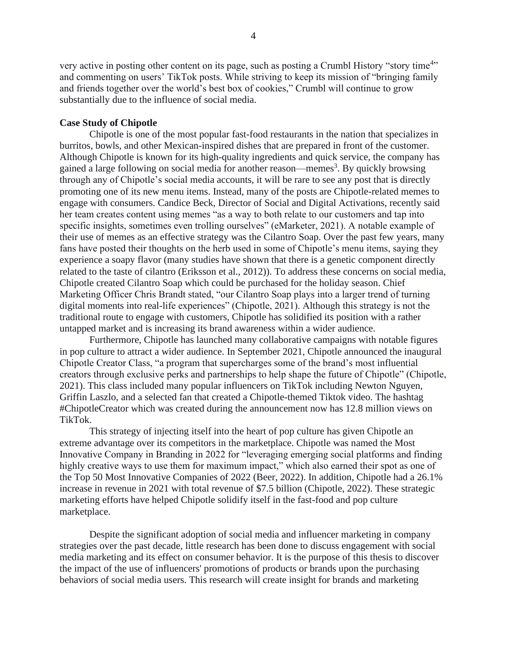very active in posting other content on its page, such as posting a Crumbl History "story time<sup>4</sup>" and commenting on users' TikTok posts. While striving to keep its mission of "bringing family and friends together over the world's best box of cookies," Crumbl will continue to grow substantially due to the influence of social media.

#### **Case Study of Chipotle**

Chipotle is one of the most popular fast-food restaurants in the nation that specializes in burritos, bowls, and other Mexican-inspired dishes that are prepared in front of the customer. Although Chipotle is known for its high-quality ingredients and quick service, the company has gained a large following on social media for another reason—memes<sup>3</sup>. By quickly browsing through any of Chipotle's social media accounts, it will be rare to see any post that is directly promoting one of its new menu items. Instead, many of the posts are Chipotle-related memes to engage with consumers. Candice Beck, Director of Social and Digital Activations, recently said her team creates content using memes "as a way to both relate to our customers and tap into specific insights, sometimes even trolling ourselves" (eMarketer, 2021). A notable example of their use of memes as an effective strategy was the Cilantro Soap. Over the past few years, many fans have posted their thoughts on the herb used in some of Chipotle's menu items, saying they experience a soapy flavor (many studies have shown that there is a genetic component directly related to the taste of cilantro (Eriksson et al., 2012)). To address these concerns on social media, Chipotle created Cilantro Soap which could be purchased for the holiday season. Chief Marketing Officer Chris Brandt stated, "our Cilantro Soap plays into a larger trend of turning digital moments into real-life experiences" (Chipotle, 2021). Although this strategy is not the traditional route to engage with customers, Chipotle has solidified its position with a rather untapped market and is increasing its brand awareness within a wider audience.

Furthermore, Chipotle has launched many collaborative campaigns with notable figures in pop culture to attract a wider audience. In September 2021, Chipotle announced the inaugural Chipotle Creator Class, "a program that supercharges some of the brand's most influential creators through exclusive perks and partnerships to help shape the future of Chipotle" (Chipotle, 2021). This class included many popular influencers on TikTok including Newton Nguyen, Griffin Laszlo, and a selected fan that created a Chipotle-themed Tiktok video. The hashtag #ChipotleCreator which was created during the announcement now has 12.8 million views on TikTok.

This strategy of injecting itself into the heart of pop culture has given Chipotle an extreme advantage over its competitors in the marketplace. Chipotle was named the Most Innovative Company in Branding in 2022 for "leveraging emerging social platforms and finding highly creative ways to use them for maximum impact," which also earned their spot as one of the Top 50 Most Innovative Companies of 2022 (Beer, 2022). In addition, Chipotle had a 26.1% increase in revenue in 2021 with total revenue of \$7.5 billion (Chipotle, 2022). These strategic marketing efforts have helped Chipotle solidify itself in the fast-food and pop culture marketplace.

Despite the significant adoption of social media and influencer marketing in company strategies over the past decade, little research has been done to discuss engagement with social media marketing and its effect on consumer behavior. It is the purpose of this thesis to discover the impact of the use of influencers' promotions of products or brands upon the purchasing behaviors of social media users. This research will create insight for brands and marketing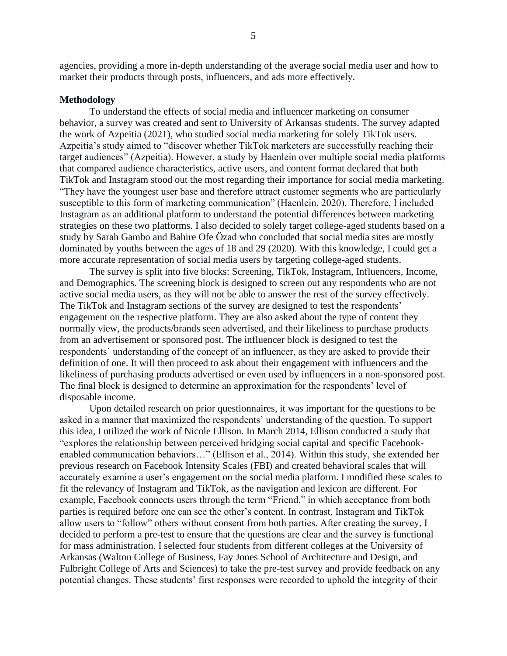agencies, providing a more in-depth understanding of the average social media user and how to market their products through posts, influencers, and ads more effectively.

#### **Methodology**

To understand the effects of social media and influencer marketing on consumer behavior, a survey was created and sent to University of Arkansas students. The survey adapted the work of Azpeitia (2021), who studied social media marketing for solely TikTok users. Azpeitia's study aimed to "discover whether TikTok marketers are successfully reaching their target audiences" (Azpeitia). However, a study by Haenlein over multiple social media platforms that compared audience characteristics, active users, and content format declared that both TikTok and Instagram stood out the most regarding their importance for social media marketing. "They have the youngest user base and therefore attract customer segments who are particularly susceptible to this form of marketing communication" (Haenlein, 2020). Therefore, I included Instagram as an additional platform to understand the potential differences between marketing strategies on these two platforms. I also decided to solely target college-aged students based on a study by Sarah Gambo and Bahire Ofe Özad who concluded that social media sites are mostly dominated by youths between the ages of 18 and 29 (2020). With this knowledge, I could get a more accurate representation of social media users by targeting college-aged students.

The survey is split into five blocks: Screening, TikTok, Instagram, Influencers, Income, and Demographics. The screening block is designed to screen out any respondents who are not active social media users, as they will not be able to answer the rest of the survey effectively. The TikTok and Instagram sections of the survey are designed to test the respondents' engagement on the respective platform. They are also asked about the type of content they normally view, the products/brands seen advertised, and their likeliness to purchase products from an advertisement or sponsored post. The influencer block is designed to test the respondents' understanding of the concept of an influencer, as they are asked to provide their definition of one. It will then proceed to ask about their engagement with influencers and the likeliness of purchasing products advertised or even used by influencers in a non-sponsored post. The final block is designed to determine an approximation for the respondents' level of disposable income.

Upon detailed research on prior questionnaires, it was important for the questions to be asked in a manner that maximized the respondents' understanding of the question. To support this idea, I utilized the work of Nicole Ellison. In March 2014, Ellison conducted a study that "explores the relationship between perceived bridging social capital and specific Facebookenabled communication behaviors…" (Ellison et al., 2014). Within this study, she extended her previous research on Facebook Intensity Scales (FBI) and created behavioral scales that will accurately examine a user's engagement on the social media platform. I modified these scales to fit the relevancy of Instagram and TikTok, as the navigation and lexicon are different. For example, Facebook connects users through the term "Friend," in which acceptance from both parties is required before one can see the other's content. In contrast, Instagram and TikTok allow users to "follow" others without consent from both parties. After creating the survey, I decided to perform a pre-test to ensure that the questions are clear and the survey is functional for mass administration. I selected four students from different colleges at the University of Arkansas (Walton College of Business, Fay Jones School of Architecture and Design, and Fulbright College of Arts and Sciences) to take the pre-test survey and provide feedback on any potential changes. These students' first responses were recorded to uphold the integrity of their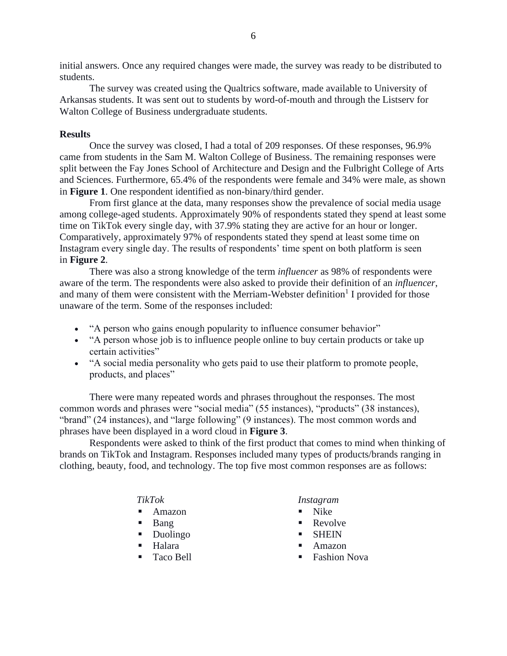initial answers. Once any required changes were made, the survey was ready to be distributed to students.

The survey was created using the Qualtrics software, made available to University of Arkansas students. It was sent out to students by word-of-mouth and through the Listserv for Walton College of Business undergraduate students.

#### **Results**

Once the survey was closed, I had a total of 209 responses. Of these responses, 96.9% came from students in the Sam M. Walton College of Business. The remaining responses were split between the Fay Jones School of Architecture and Design and the Fulbright College of Arts and Sciences. Furthermore, 65.4% of the respondents were female and 34% were male, as shown in **Figure 1**. One respondent identified as non-binary/third gender.

From first glance at the data, many responses show the prevalence of social media usage among college-aged students. Approximately 90% of respondents stated they spend at least some time on TikTok every single day, with 37.9% stating they are active for an hour or longer. Comparatively, approximately 97% of respondents stated they spend at least some time on Instagram every single day. The results of respondents' time spent on both platform is seen in **Figure 2**.

There was also a strong knowledge of the term *influencer* as 98% of respondents were aware of the term. The respondents were also asked to provide their definition of an *influencer*, and many of them were consistent with the Merriam-Webster definition<sup>1</sup> I provided for those unaware of the term. Some of the responses included:

- "A person who gains enough popularity to influence consumer behavior"
- "A person whose job is to influence people online to buy certain products or take up certain activities"
- "A social media personality who gets paid to use their platform to promote people, products, and places"

There were many repeated words and phrases throughout the responses. The most common words and phrases were "social media" (55 instances), "products" (38 instances), "brand" (24 instances), and "large following" (9 instances). The most common words and phrases have been displayed in a word cloud in **Figure 3**.

Respondents were asked to think of the first product that comes to mind when thinking of brands on TikTok and Instagram. Responses included many types of products/brands ranging in clothing, beauty, food, and technology. The top five most common responses are as follows:

#### *TikTok*

- **Amazon**
- Bang
- Duolingo
- Halara
- Taco Bell

#### *Instagram*

- Nike
- $\blacksquare$  Revolve
- SHEIN
- Amazon
- Fashion Nova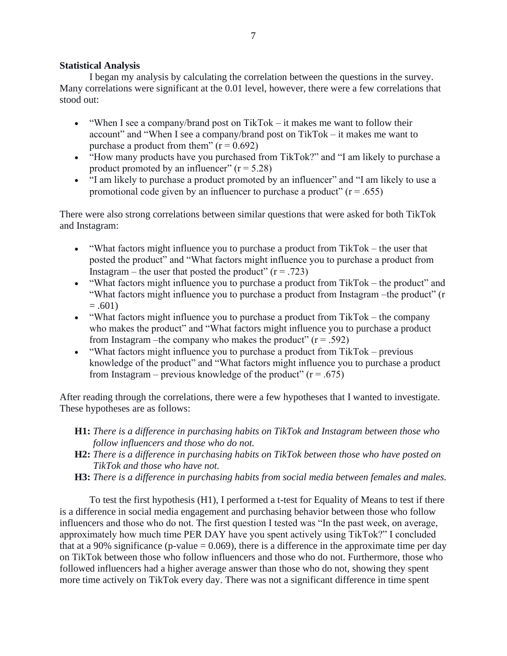## **Statistical Analysis**

I began my analysis by calculating the correlation between the questions in the survey. Many correlations were significant at the 0.01 level, however, there were a few correlations that stood out:

- "When I see a company/brand post on TikTok it makes me want to follow their account" and "When I see a company/brand post on TikTok – it makes me want to purchase a product from them"  $(r = 0.692)$
- "How many products have you purchased from TikTok?" and "I am likely to purchase a product promoted by an influencer"  $(r = 5.28)$
- "I am likely to purchase a product promoted by an influencer" and "I am likely to use a promotional code given by an influencer to purchase a product"  $(r = .655)$

There were also strong correlations between similar questions that were asked for both TikTok and Instagram:

- "What factors might influence you to purchase a product from TikTok the user that posted the product" and "What factors might influence you to purchase a product from Instagram – the user that posted the product"  $(r = .723)$
- "What factors might influence you to purchase a product from TikTok the product" and "What factors might influence you to purchase a product from Instagram –the product" (r  $= .601$
- "What factors might influence you to purchase a product from TikTok the company who makes the product" and "What factors might influence you to purchase a product from Instagram –the company who makes the product"  $(r = .592)$
- "What factors might influence you to purchase a product from  $TikTok previous$ knowledge of the product" and "What factors might influence you to purchase a product from Instagram – previous knowledge of the product"  $(r = .675)$

After reading through the correlations, there were a few hypotheses that I wanted to investigate. These hypotheses are as follows:

- **H1:** *There is a difference in purchasing habits on TikTok and Instagram between those who follow influencers and those who do not.*
- **H2:** *There is a difference in purchasing habits on TikTok between those who have posted on TikTok and those who have not.*
- **H3:** *There is a difference in purchasing habits from social media between females and males.*

To test the first hypothesis (H1), I performed a t-test for Equality of Means to test if there is a difference in social media engagement and purchasing behavior between those who follow influencers and those who do not. The first question I tested was "In the past week, on average, approximately how much time PER DAY have you spent actively using TikTok?" I concluded that at a 90% significance (p-value  $= 0.069$ ), there is a difference in the approximate time per day on TikTok between those who follow influencers and those who do not. Furthermore, those who followed influencers had a higher average answer than those who do not, showing they spent more time actively on TikTok every day. There was not a significant difference in time spent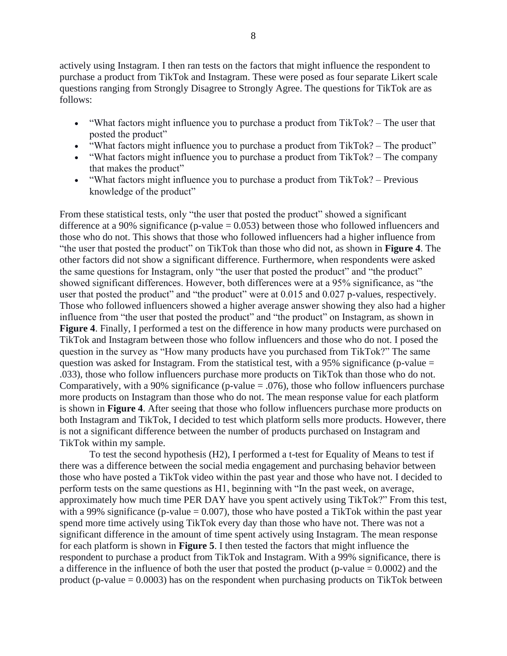actively using Instagram. I then ran tests on the factors that might influence the respondent to purchase a product from TikTok and Instagram. These were posed as four separate Likert scale questions ranging from Strongly Disagree to Strongly Agree. The questions for TikTok are as follows:

- "What factors might influence you to purchase a product from TikTok? The user that posted the product"
- "What factors might influence you to purchase a product from TikTok? The product"
- "What factors might influence you to purchase a product from TikTok? The company that makes the product"
- "What factors might influence you to purchase a product from TikTok? Previous knowledge of the product"

From these statistical tests, only "the user that posted the product" showed a significant difference at a 90% significance (p-value  $= 0.053$ ) between those who followed influencers and those who do not. This shows that those who followed influencers had a higher influence from "the user that posted the product" on TikTok than those who did not, as shown in **Figure 4**. The other factors did not show a significant difference. Furthermore, when respondents were asked the same questions for Instagram, only "the user that posted the product" and "the product" showed significant differences. However, both differences were at a 95% significance, as "the user that posted the product" and "the product" were at 0.015 and 0.027 p-values, respectively. Those who followed influencers showed a higher average answer showing they also had a higher influence from "the user that posted the product" and "the product" on Instagram, as shown in **Figure 4**. Finally, I performed a test on the difference in how many products were purchased on TikTok and Instagram between those who follow influencers and those who do not. I posed the question in the survey as "How many products have you purchased from TikTok?" The same question was asked for Instagram. From the statistical test, with a 95% significance (p-value  $=$ .033), those who follow influencers purchase more products on TikTok than those who do not. Comparatively, with a 90% significance (p-value  $= .076$ ), those who follow influencers purchase more products on Instagram than those who do not. The mean response value for each platform is shown in **Figure 4**. After seeing that those who follow influencers purchase more products on both Instagram and TikTok, I decided to test which platform sells more products. However, there is not a significant difference between the number of products purchased on Instagram and TikTok within my sample.

To test the second hypothesis (H2), I performed a t-test for Equality of Means to test if there was a difference between the social media engagement and purchasing behavior between those who have posted a TikTok video within the past year and those who have not. I decided to perform tests on the same questions as H1, beginning with "In the past week, on average, approximately how much time PER DAY have you spent actively using TikTok?" From this test, with a 99% significance (p-value  $= 0.007$ ), those who have posted a TikTok within the past year spend more time actively using TikTok every day than those who have not. There was not a significant difference in the amount of time spent actively using Instagram. The mean response for each platform is shown in **Figure 5**. I then tested the factors that might influence the respondent to purchase a product from TikTok and Instagram. With a 99% significance, there is a difference in the influence of both the user that posted the product (p-value  $= 0.0002$ ) and the product (p-value  $= 0.0003$ ) has on the respondent when purchasing products on TikTok between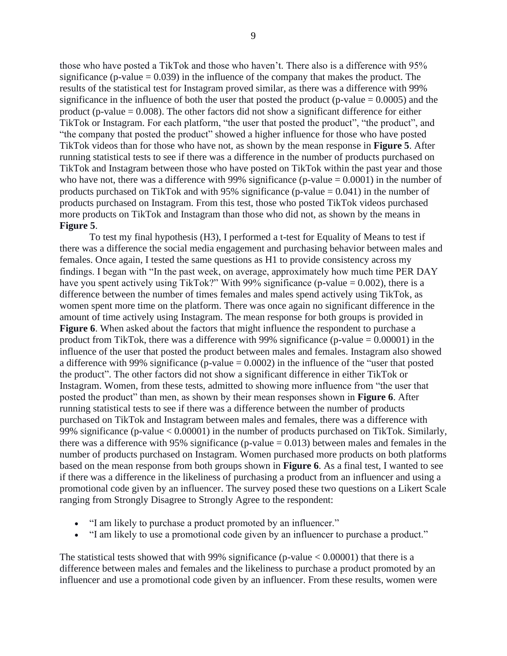those who have posted a TikTok and those who haven't. There also is a difference with 95% significance (p-value  $= 0.039$ ) in the influence of the company that makes the product. The results of the statistical test for Instagram proved similar, as there was a difference with 99% significance in the influence of both the user that posted the product (p-value  $= 0.0005$ ) and the product (p-value  $= 0.008$ ). The other factors did not show a significant difference for either TikTok or Instagram. For each platform, "the user that posted the product", "the product", and "the company that posted the product" showed a higher influence for those who have posted TikTok videos than for those who have not, as shown by the mean response in **Figure 5**. After running statistical tests to see if there was a difference in the number of products purchased on TikTok and Instagram between those who have posted on TikTok within the past year and those who have not, there was a difference with 99% significance (p-value  $= 0.0001$ ) in the number of products purchased on TikTok and with 95% significance (p-value  $= 0.041$ ) in the number of products purchased on Instagram. From this test, those who posted TikTok videos purchased more products on TikTok and Instagram than those who did not, as shown by the means in **Figure 5**.

To test my final hypothesis (H3), I performed a t-test for Equality of Means to test if there was a difference the social media engagement and purchasing behavior between males and females. Once again, I tested the same questions as H1 to provide consistency across my findings. I began with "In the past week, on average, approximately how much time PER DAY have you spent actively using TikTok?" With 99% significance (p-value  $= 0.002$ ), there is a difference between the number of times females and males spend actively using TikTok, as women spent more time on the platform. There was once again no significant difference in the amount of time actively using Instagram. The mean response for both groups is provided in **Figure 6**. When asked about the factors that might influence the respondent to purchase a product from TikTok, there was a difference with 99% significance (p-value  $= 0.00001$ ) in the influence of the user that posted the product between males and females. Instagram also showed a difference with 99% significance (p-value  $= 0.0002$ ) in the influence of the "user that posted the product". The other factors did not show a significant difference in either TikTok or Instagram. Women, from these tests, admitted to showing more influence from "the user that posted the product" than men, as shown by their mean responses shown in **Figure 6**. After running statistical tests to see if there was a difference between the number of products purchased on TikTok and Instagram between males and females, there was a difference with 99% significance (p-value < 0.00001) in the number of products purchased on TikTok. Similarly, there was a difference with 95% significance (p-value  $= 0.013$ ) between males and females in the number of products purchased on Instagram. Women purchased more products on both platforms based on the mean response from both groups shown in **Figure 6**. As a final test, I wanted to see if there was a difference in the likeliness of purchasing a product from an influencer and using a promotional code given by an influencer. The survey posed these two questions on a Likert Scale ranging from Strongly Disagree to Strongly Agree to the respondent:

- "I am likely to purchase a product promoted by an influencer."
- "I am likely to use a promotional code given by an influencer to purchase a product."

The statistical tests showed that with 99% significance (p-value  $< 0.00001$ ) that there is a difference between males and females and the likeliness to purchase a product promoted by an influencer and use a promotional code given by an influencer. From these results, women were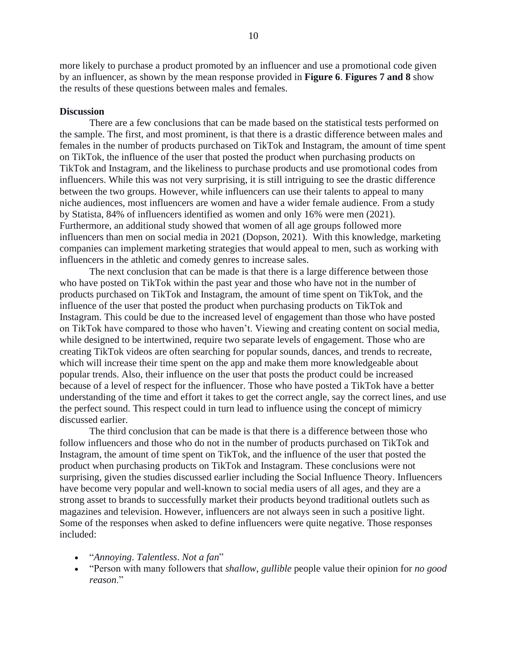more likely to purchase a product promoted by an influencer and use a promotional code given by an influencer, as shown by the mean response provided in **Figure 6**. **Figures 7 and 8** show the results of these questions between males and females.

#### **Discussion**

There are a few conclusions that can be made based on the statistical tests performed on the sample. The first, and most prominent, is that there is a drastic difference between males and females in the number of products purchased on TikTok and Instagram, the amount of time spent on TikTok, the influence of the user that posted the product when purchasing products on TikTok and Instagram, and the likeliness to purchase products and use promotional codes from influencers. While this was not very surprising, it is still intriguing to see the drastic difference between the two groups. However, while influencers can use their talents to appeal to many niche audiences, most influencers are women and have a wider female audience. From a study by Statista, 84% of influencers identified as women and only 16% were men (2021). Furthermore, an additional study showed that women of all age groups followed more influencers than men on social media in 2021 (Dopson, 2021). With this knowledge, marketing companies can implement marketing strategies that would appeal to men, such as working with influencers in the athletic and comedy genres to increase sales.

The next conclusion that can be made is that there is a large difference between those who have posted on TikTok within the past year and those who have not in the number of products purchased on TikTok and Instagram, the amount of time spent on TikTok, and the influence of the user that posted the product when purchasing products on TikTok and Instagram. This could be due to the increased level of engagement than those who have posted on TikTok have compared to those who haven't. Viewing and creating content on social media, while designed to be intertwined, require two separate levels of engagement. Those who are creating TikTok videos are often searching for popular sounds, dances, and trends to recreate, which will increase their time spent on the app and make them more knowledgeable about popular trends. Also, their influence on the user that posts the product could be increased because of a level of respect for the influencer. Those who have posted a TikTok have a better understanding of the time and effort it takes to get the correct angle, say the correct lines, and use the perfect sound. This respect could in turn lead to influence using the concept of mimicry discussed earlier.

The third conclusion that can be made is that there is a difference between those who follow influencers and those who do not in the number of products purchased on TikTok and Instagram, the amount of time spent on TikTok, and the influence of the user that posted the product when purchasing products on TikTok and Instagram. These conclusions were not surprising, given the studies discussed earlier including the Social Influence Theory. Influencers have become very popular and well-known to social media users of all ages, and they are a strong asset to brands to successfully market their products beyond traditional outlets such as magazines and television. However, influencers are not always seen in such a positive light. Some of the responses when asked to define influencers were quite negative. Those responses included:

- "*Annoying*. *Talentless*. *Not a fan*"
- "Person with many followers that *shallow*, *gullible* people value their opinion for *no good reason*."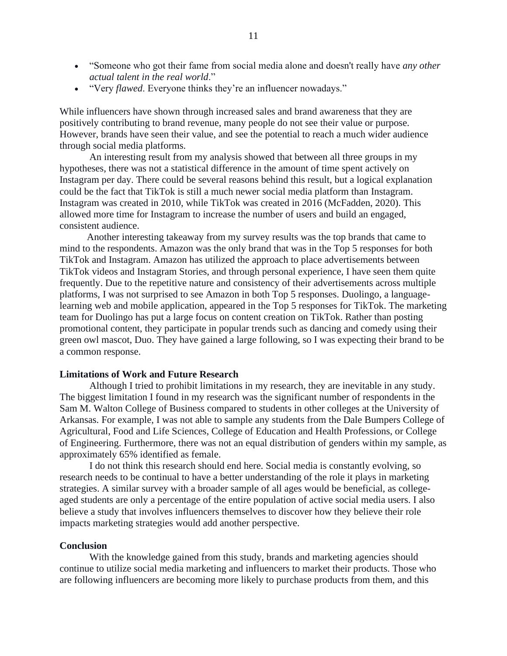- "Someone who got their fame from social media alone and doesn't really have *any other actual talent in the real world*."
- "Very *flawed*. Everyone thinks they're an influencer nowadays."

While influencers have shown through increased sales and brand awareness that they are positively contributing to brand revenue, many people do not see their value or purpose. However, brands have seen their value, and see the potential to reach a much wider audience through social media platforms.

An interesting result from my analysis showed that between all three groups in my hypotheses, there was not a statistical difference in the amount of time spent actively on Instagram per day. There could be several reasons behind this result, but a logical explanation could be the fact that TikTok is still a much newer social media platform than Instagram. Instagram was created in 2010, while TikTok was created in 2016 (McFadden, 2020). This allowed more time for Instagram to increase the number of users and build an engaged, consistent audience.

Another interesting takeaway from my survey results was the top brands that came to mind to the respondents. Amazon was the only brand that was in the Top 5 responses for both TikTok and Instagram. Amazon has utilized the approach to place advertisements between TikTok videos and Instagram Stories, and through personal experience, I have seen them quite frequently. Due to the repetitive nature and consistency of their advertisements across multiple platforms, I was not surprised to see Amazon in both Top 5 responses. Duolingo, a languagelearning web and mobile application, appeared in the Top 5 responses for TikTok. The marketing team for Duolingo has put a large focus on content creation on TikTok. Rather than posting promotional content, they participate in popular trends such as dancing and comedy using their green owl mascot, Duo. They have gained a large following, so I was expecting their brand to be a common response.

#### **Limitations of Work and Future Research**

Although I tried to prohibit limitations in my research, they are inevitable in any study. The biggest limitation I found in my research was the significant number of respondents in the Sam M. Walton College of Business compared to students in other colleges at the University of Arkansas. For example, I was not able to sample any students from the Dale Bumpers College of Agricultural, Food and Life Sciences, College of Education and Health Professions, or College of Engineering. Furthermore, there was not an equal distribution of genders within my sample, as approximately 65% identified as female.

I do not think this research should end here. Social media is constantly evolving, so research needs to be continual to have a better understanding of the role it plays in marketing strategies. A similar survey with a broader sample of all ages would be beneficial, as collegeaged students are only a percentage of the entire population of active social media users. I also believe a study that involves influencers themselves to discover how they believe their role impacts marketing strategies would add another perspective.

#### **Conclusion**

With the knowledge gained from this study, brands and marketing agencies should continue to utilize social media marketing and influencers to market their products. Those who are following influencers are becoming more likely to purchase products from them, and this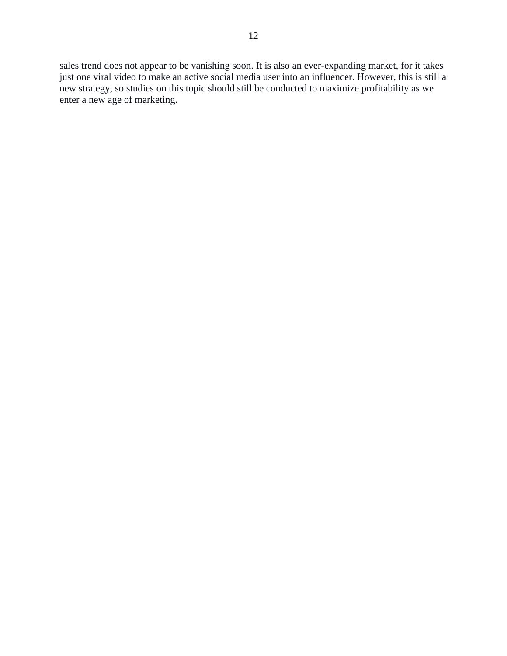12

sales trend does not appear to be vanishing soon. It is also an ever-expanding market, for it takes just one viral video to make an active social media user into an influencer. However, this is still a new strategy, so studies on this topic should still be conducted to maximize profitability as we enter a new age of marketing.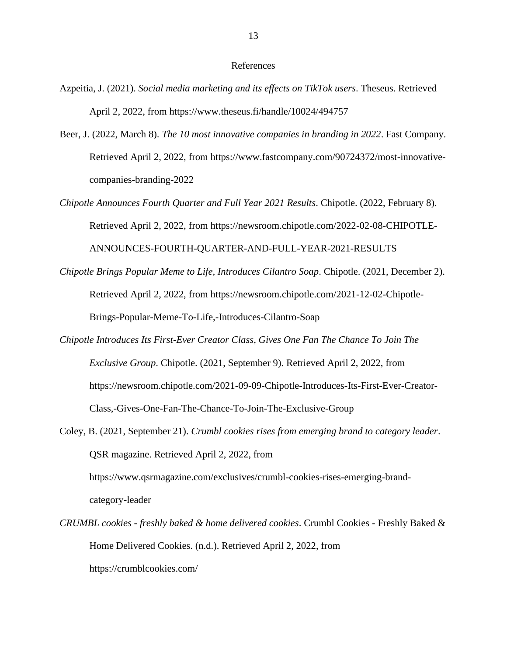#### References

- Azpeitia, J. (2021). *Social media marketing and its effects on TikTok users*. Theseus. Retrieved April 2, 2022, from https://www.theseus.fi/handle/10024/494757
- Beer, J. (2022, March 8). *The 10 most innovative companies in branding in 2022*. Fast Company. Retrieved April 2, 2022, from https://www.fastcompany.com/90724372/most-innovativecompanies-branding-2022
- *Chipotle Announces Fourth Quarter and Full Year 2021 Results*. Chipotle. (2022, February 8). Retrieved April 2, 2022, from https://newsroom.chipotle.com/2022-02-08-CHIPOTLE-ANNOUNCES-FOURTH-QUARTER-AND-FULL-YEAR-2021-RESULTS
- *Chipotle Brings Popular Meme to Life, Introduces Cilantro Soap*. Chipotle. (2021, December 2). Retrieved April 2, 2022, from https://newsroom.chipotle.com/2021-12-02-Chipotle-Brings-Popular-Meme-To-Life,-Introduces-Cilantro-Soap
- *Chipotle Introduces Its First-Ever Creator Class, Gives One Fan The Chance To Join The Exclusive Group*. Chipotle. (2021, September 9). Retrieved April 2, 2022, from https://newsroom.chipotle.com/2021-09-09-Chipotle-Introduces-Its-First-Ever-Creator-Class,-Gives-One-Fan-The-Chance-To-Join-The-Exclusive-Group
- Coley, B. (2021, September 21). *Crumbl cookies rises from emerging brand to category leader*. QSR magazine. Retrieved April 2, 2022, from https://www.qsrmagazine.com/exclusives/crumbl-cookies-rises-emerging-brandcategory-leader
- *CRUMBL cookies - freshly baked & home delivered cookies*. Crumbl Cookies Freshly Baked & Home Delivered Cookies. (n.d.). Retrieved April 2, 2022, from https://crumblcookies.com/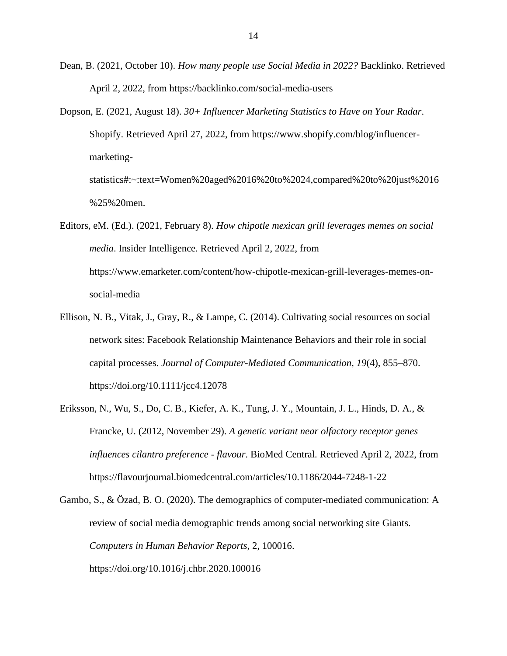Dean, B. (2021, October 10). *How many people use Social Media in 2022?* Backlinko. Retrieved April 2, 2022, from https://backlinko.com/social-media-users

- Dopson, E. (2021, August 18). *30+ Influencer Marketing Statistics to Have on Your Radar*. Shopify. Retrieved April 27, 2022, from https://www.shopify.com/blog/influencermarketingstatistics#:~:text=Women%20aged%2016%20to%2024,compared%20to%20just%2016 %25%20men.
- Editors, eM. (Ed.). (2021, February 8). *How chipotle mexican grill leverages memes on social media*. Insider Intelligence. Retrieved April 2, 2022, from https://www.emarketer.com/content/how-chipotle-mexican-grill-leverages-memes-onsocial-media
- Ellison, N. B., Vitak, J., Gray, R., & Lampe, C. (2014). Cultivating social resources on social network sites: Facebook Relationship Maintenance Behaviors and their role in social capital processes. *Journal of Computer-Mediated Communication*, *19*(4), 855–870. https://doi.org/10.1111/jcc4.12078
- Eriksson, N., Wu, S., Do, C. B., Kiefer, A. K., Tung, J. Y., Mountain, J. L., Hinds, D. A., & Francke, U. (2012, November 29). *A genetic variant near olfactory receptor genes influences cilantro preference - flavour*. BioMed Central. Retrieved April 2, 2022, from https://flavourjournal.biomedcentral.com/articles/10.1186/2044-7248-1-22

Gambo, S., & Özad, B. O. (2020). The demographics of computer-mediated communication: A review of social media demographic trends among social networking site Giants. *Computers in Human Behavior Reports*, 2, 100016. https://doi.org/10.1016/j.chbr.2020.100016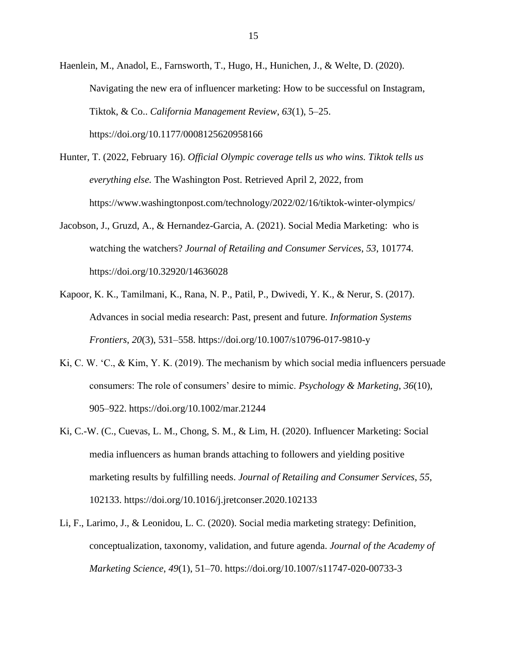Haenlein, M., Anadol, E., Farnsworth, T., Hugo, H., Hunichen, J., & Welte, D. (2020). Navigating the new era of influencer marketing: How to be successful on Instagram, Tiktok, & Co.. *California Management Review*, *63*(1), 5–25. https://doi.org/10.1177/0008125620958166

- Hunter, T. (2022, February 16). *Official Olympic coverage tells us who wins. Tiktok tells us everything else.* The Washington Post. Retrieved April 2, 2022, from https://www.washingtonpost.com/technology/2022/02/16/tiktok-winter-olympics/
- Jacobson, J., Gruzd, A., & Hernandez-Garcia, A. (2021). Social Media Marketing: who is watching the watchers? *Journal of Retailing and Consumer Services*, *53*, 101774. https://doi.org/10.32920/14636028
- Kapoor, K. K., Tamilmani, K., Rana, N. P., Patil, P., Dwivedi, Y. K., & Nerur, S. (2017). Advances in social media research: Past, present and future. *Information Systems Frontiers*, *20*(3), 531–558. https://doi.org/10.1007/s10796-017-9810-y
- Ki, C. W. 'C., & Kim, Y. K. (2019). The mechanism by which social media influencers persuade consumers: The role of consumers' desire to mimic. *Psychology & Marketing*, *36*(10), 905–922. https://doi.org/10.1002/mar.21244
- Ki, C.-W. (C., Cuevas, L. M., Chong, S. M., & Lim, H. (2020). Influencer Marketing: Social media influencers as human brands attaching to followers and yielding positive marketing results by fulfilling needs. *Journal of Retailing and Consumer Services*, *55*, 102133. https://doi.org/10.1016/j.jretconser.2020.102133
- Li, F., Larimo, J., & Leonidou, L. C. (2020). Social media marketing strategy: Definition, conceptualization, taxonomy, validation, and future agenda. *Journal of the Academy of Marketing Science*, *49*(1), 51–70. https://doi.org/10.1007/s11747-020-00733-3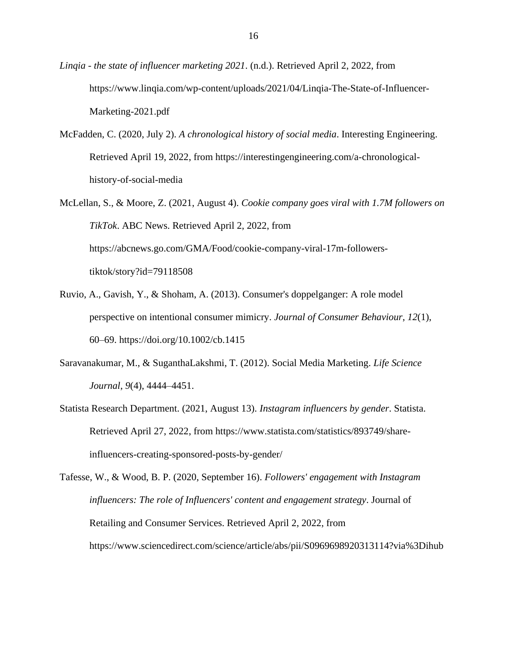*Linqia - the state of influencer marketing 2021*. (n.d.). Retrieved April 2, 2022, from https://www.linqia.com/wp-content/uploads/2021/04/Linqia-The-State-of-Influencer-Marketing-2021.pdf

- McFadden, C. (2020, July 2). *A chronological history of social media*. Interesting Engineering. Retrieved April 19, 2022, from https://interestingengineering.com/a-chronologicalhistory-of-social-media
- McLellan, S., & Moore, Z. (2021, August 4). *Cookie company goes viral with 1.7M followers on TikTok*. ABC News. Retrieved April 2, 2022, from https://abcnews.go.com/GMA/Food/cookie-company-viral-17m-followerstiktok/story?id=79118508
- Ruvio, A., Gavish, Y., & Shoham, A. (2013). Consumer's doppelganger: A role model perspective on intentional consumer mimicry. *Journal of Consumer Behaviour*, *12*(1), 60–69. https://doi.org/10.1002/cb.1415
- Saravanakumar, M., & SuganthaLakshmi, T. (2012). Social Media Marketing. *Life Science Journal*, *9*(4), 4444–4451.
- Statista Research Department. (2021, August 13). *Instagram influencers by gender*. Statista. Retrieved April 27, 2022, from https://www.statista.com/statistics/893749/shareinfluencers-creating-sponsored-posts-by-gender/

Tafesse, W., & Wood, B. P. (2020, September 16). *Followers' engagement with Instagram influencers: The role of Influencers' content and engagement strategy*. Journal of Retailing and Consumer Services. Retrieved April 2, 2022, from https://www.sciencedirect.com/science/article/abs/pii/S0969698920313114?via%3Dihub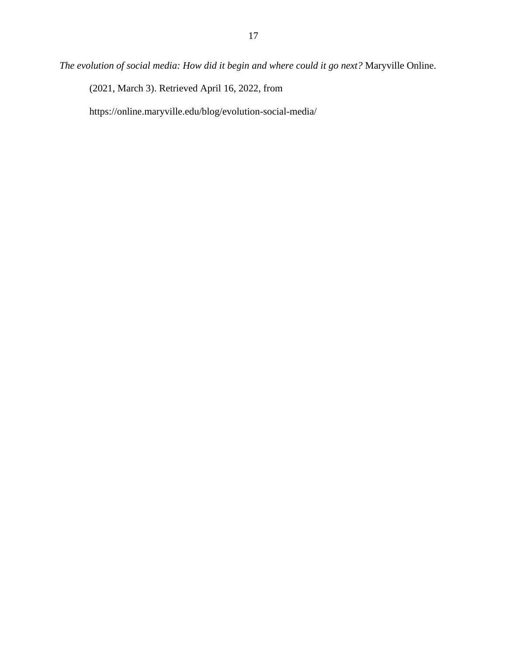(2021, March 3). Retrieved April 16, 2022, from

https://online.maryville.edu/blog/evolution-social-media/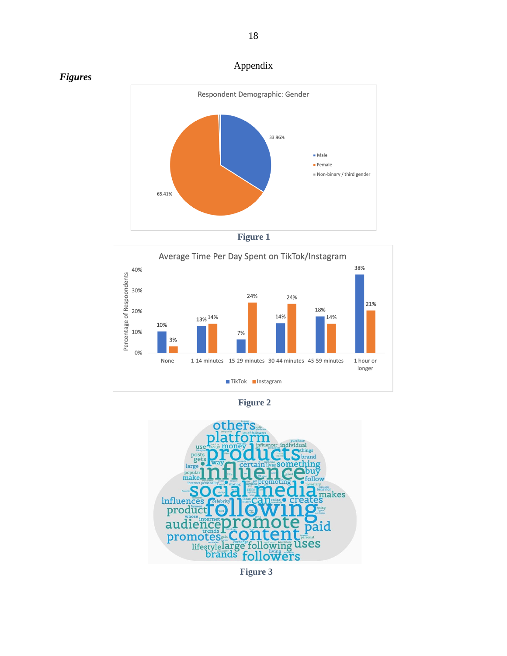











Appendix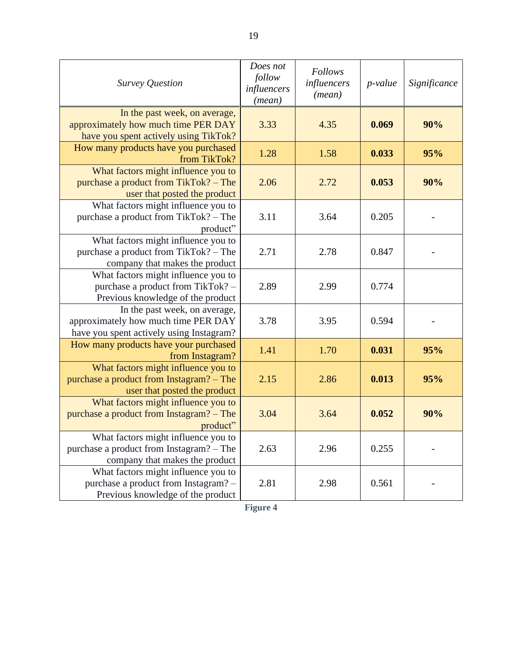| <b>Survey Question</b>                                                                                            | Does not<br>follow<br>influencers<br>(mean) | <b>Follows</b><br>influencers<br>(mean) | $p$ -value | Significance |
|-------------------------------------------------------------------------------------------------------------------|---------------------------------------------|-----------------------------------------|------------|--------------|
| In the past week, on average,<br>approximately how much time PER DAY<br>have you spent actively using TikTok?     | 3.33                                        | 4.35                                    | 0.069      | 90%          |
| How many products have you purchased<br>from TikTok?                                                              | 1.28                                        | 1.58                                    | 0.033      | 95%          |
| What factors might influence you to<br>purchase a product from TikTok? - The<br>user that posted the product      | 2.06                                        | 2.72                                    | 0.053      | 90%          |
| What factors might influence you to<br>purchase a product from TikTok? - The<br>product"                          | 3.11                                        | 3.64                                    | 0.205      |              |
| What factors might influence you to<br>purchase a product from TikTok? - The<br>company that makes the product    | 2.71                                        | 2.78                                    | 0.847      |              |
| What factors might influence you to<br>purchase a product from TikTok? -<br>Previous knowledge of the product     | 2.89                                        | 2.99                                    | 0.774      |              |
| In the past week, on average,<br>approximately how much time PER DAY<br>have you spent actively using Instagram?  | 3.78                                        | 3.95                                    | 0.594      |              |
| How many products have your purchased<br>from Instagram?                                                          | 1.41                                        | 1.70                                    | 0.031      | 95%          |
| What factors might influence you to<br>purchase a product from Instagram? - The<br>user that posted the product   | 2.15                                        | 2.86                                    | 0.013      | 95%          |
| What factors might influence you to<br>purchase a product from Instagram? – The<br>product"                       | 3.04                                        | 3.64                                    | 0.052      | 90%          |
| What factors might influence you to<br>purchase a product from Instagram? - The<br>company that makes the product | 2.63                                        | 2.96                                    | 0.255      |              |
| What factors might influence you to<br>purchase a product from Instagram? -<br>Previous knowledge of the product  | 2.81                                        | 2.98                                    | 0.561      |              |

19

**Figure 4**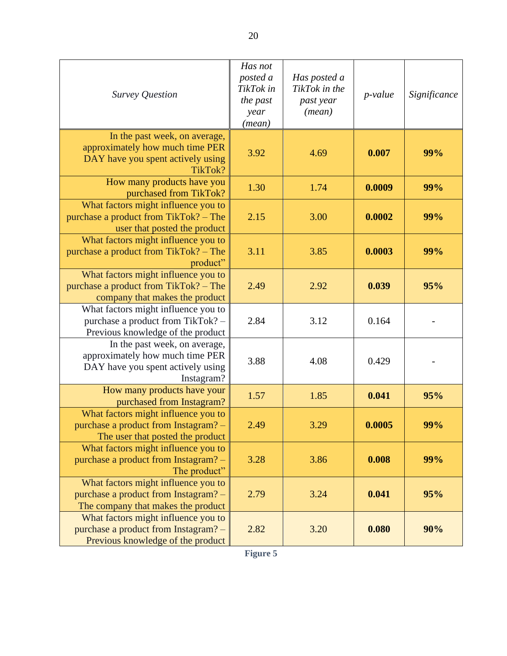| Survey Question                                                                                                     | Has not<br>posted a<br>TikTok in<br>the past<br>year<br>(mean) | Has posted a<br>TikTok in the<br>past year<br>(mean) | $p$ -value | Significance |
|---------------------------------------------------------------------------------------------------------------------|----------------------------------------------------------------|------------------------------------------------------|------------|--------------|
| In the past week, on average,<br>approximately how much time PER<br>DAY have you spent actively using<br>TikTok?    | 3.92                                                           | 4.69                                                 | 0.007      | 99%          |
| How many products have you<br>purchased from TikTok?                                                                | 1.30                                                           | 1.74                                                 | 0.0009     | 99%          |
| What factors might influence you to<br>purchase a product from TikTok? – The<br>user that posted the product        | 2.15                                                           | 3.00                                                 | 0.0002     | 99%          |
| What factors might influence you to<br>purchase a product from TikTok? – The<br>product"                            | 3.11                                                           | 3.85                                                 | 0.0003     | 99%          |
| What factors might influence you to<br>purchase a product from TikTok? – The<br>company that makes the product      | 2.49                                                           | 2.92                                                 | 0.039      | 95%          |
| What factors might influence you to<br>purchase a product from TikTok? -<br>Previous knowledge of the product       | 2.84                                                           | 3.12                                                 | 0.164      |              |
| In the past week, on average,<br>approximately how much time PER<br>DAY have you spent actively using<br>Instagram? | 3.88                                                           | 4.08                                                 | 0.429      |              |
| How many products have your<br>purchased from Instagram?                                                            | 1.57                                                           | 1.85                                                 | 0.041      | 95%          |
| What factors might influence you to<br>purchase a product from Instagram? -<br>The user that posted the product     | 2.49                                                           | 3.29                                                 | 0.0005     | 99%          |
| What factors might influence you to<br>purchase a product from Instagram? -<br>The product"                         | 3.28                                                           | 3.86                                                 | 0.008      | 99%          |
| What factors might influence you to<br>purchase a product from Instagram? -<br>The company that makes the product   | 2.79                                                           | 3.24                                                 | 0.041      | 95%          |
| What factors might influence you to<br>purchase a product from Instagram? -<br>Previous knowledge of the product    | 2.82                                                           | 3.20                                                 | 0.080      | 90%          |

**Figure 5**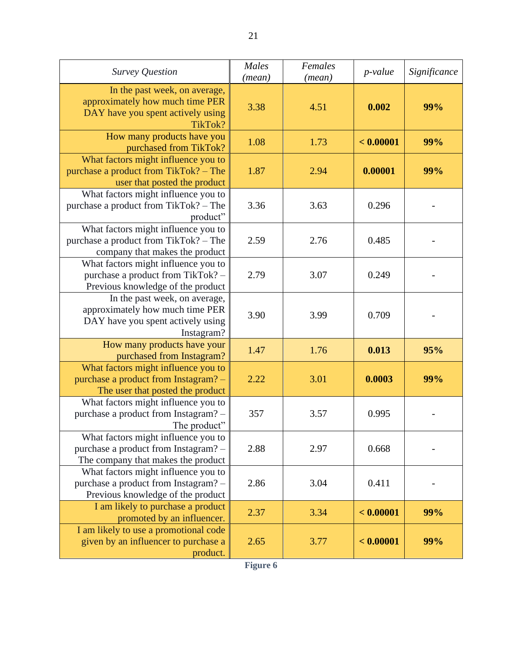| <b>Survey Question</b>                                                                                              | Males<br>(mean) | Females<br>(mean) | $p$ -value | Significance |
|---------------------------------------------------------------------------------------------------------------------|-----------------|-------------------|------------|--------------|
| In the past week, on average,<br>approximately how much time PER<br>DAY have you spent actively using<br>TikTok?    | 3.38            | 4.51              | 0.002      | 99%          |
| How many products have you<br>purchased from TikTok?                                                                | 1.08            | 1.73              | < 0.00001  | 99%          |
| What factors might influence you to<br>purchase a product from TikTok? – The<br>user that posted the product        | 1.87            | 2.94              | 0.00001    | 99%          |
| What factors might influence you to<br>purchase a product from TikTok? - The<br>product"                            | 3.36            | 3.63              | 0.296      |              |
| What factors might influence you to<br>purchase a product from TikTok? - The<br>company that makes the product      | 2.59            | 2.76              | 0.485      |              |
| What factors might influence you to<br>purchase a product from TikTok? -<br>Previous knowledge of the product       | 2.79            | 3.07              | 0.249      |              |
| In the past week, on average,<br>approximately how much time PER<br>DAY have you spent actively using<br>Instagram? | 3.90            | 3.99              | 0.709      |              |
| How many products have your<br>purchased from Instagram?                                                            | 1.47            | 1.76              | 0.013      | 95%          |
| What factors might influence you to<br>purchase a product from Instagram? -<br>The user that posted the product     | 2.22            | 3.01              | 0.0003     | 99%          |
| What factors might influence you to<br>purchase a product from Instagram? -<br>The product"                         | 357             | 3.57              | 0.995      |              |
| What factors might influence you to<br>purchase a product from Instagram? -<br>The company that makes the product   | 2.88            | 2.97              | 0.668      |              |
| What factors might influence you to<br>purchase a product from Instagram? -<br>Previous knowledge of the product    | 2.86            | 3.04              | 0.411      |              |
| I am likely to purchase a product<br>promoted by an influencer.                                                     | 2.37            | 3.34              | < 0.00001  | 99%          |
| I am likely to use a promotional code<br>given by an influencer to purchase a<br>product.                           | 2.65            | 3.77              | < 0.00001  | 99%          |

**Figure 6**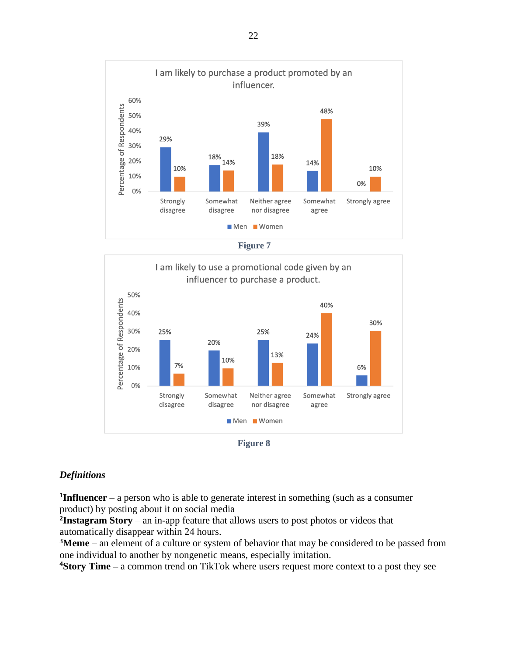







## *Definitions*

**1 Influencer** – a person who is able to generate interest in something (such as a consumer product) by posting about it on social media

**2 Instagram Story** – an in-app feature that allows users to post photos or videos that automatically disappear within 24 hours.

**<sup>3</sup>Meme** – an element of a culture or system of behavior that may be considered to be passed from one individual to another by nongenetic means, especially imitation.

**<sup>4</sup>Story Time –** a common trend on TikTok where users request more context to a post they see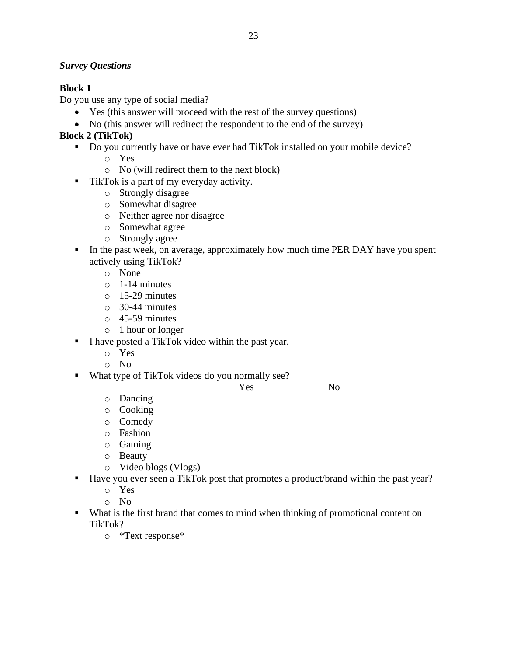## *Survey Questions*

## **Block 1**

Do you use any type of social media?

- Yes (this answer will proceed with the rest of the survey questions)
- No (this answer will redirect the respondent to the end of the survey)

## **Block 2 (TikTok)**

- Do you currently have or have ever had TikTok installed on your mobile device?
	- o Yes
	- o No (will redirect them to the next block)
- TikTok is a part of my everyday activity.
	- o Strongly disagree
	- o Somewhat disagree
	- o Neither agree nor disagree
	- o Somewhat agree
	- o Strongly agree
- **IF** In the past week, on average, approximately how much time PER DAY have you spent actively using TikTok?
	- o None
	- $\circ$  1-14 minutes
	- o 15-29 minutes
	- o 30-44 minutes
	- o 45-59 minutes
	- o 1 hour or longer
- I have posted a TikTok video within the past year.
	- o Yes
	- o No
- What type of TikTok videos do you normally see?
	- Yes No

- o Dancing
- o Cooking
- o Comedy
- o Fashion
- o Gaming
- o Beauty
- o Video blogs (Vlogs)
- Have you ever seen a TikTok post that promotes a product/brand within the past year?
	- o Yes
	- o No
- What is the first brand that comes to mind when thinking of promotional content on TikTok?
	- o \*Text response\*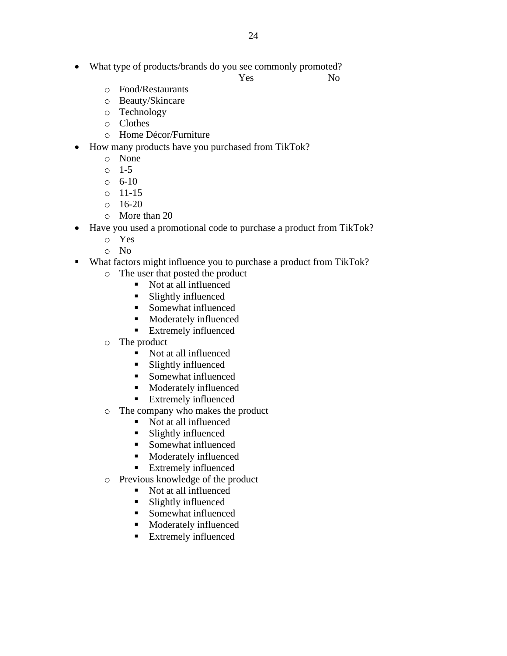• What type of products/brands do you see commonly promoted?

Yes No

- o Food/Restaurants
- o Beauty/Skincare
- o Technology
- o Clothes
- o Home Décor/Furniture
- How many products have you purchased from TikTok?
	- o None
	- o 1-5
	- $\circ$  6-10
	- o 11-15
	- $0 \quad 16-20$
	- o More than 20
- Have you used a promotional code to purchase a product from TikTok?
	- o Yes
	- o No
- What factors might influence you to purchase a product from TikTok?
	- o The user that posted the product
		- Not at all influenced
		- Slightly influenced
		- Somewhat influenced
		- Moderately influenced
		- Extremely influenced
	- o The product
		- Not at all influenced
		- Slightly influenced
		- Somewhat influenced
		- Moderately influenced
		- Extremely influenced
	- o The company who makes the product
		- Not at all influenced
		- Slightly influenced
		- Somewhat influenced
		- Moderately influenced
		- Extremely influenced
	- o Previous knowledge of the product
		- Not at all influenced
		- Slightly influenced
		- Somewhat influenced
		- Moderately influenced
		- Extremely influenced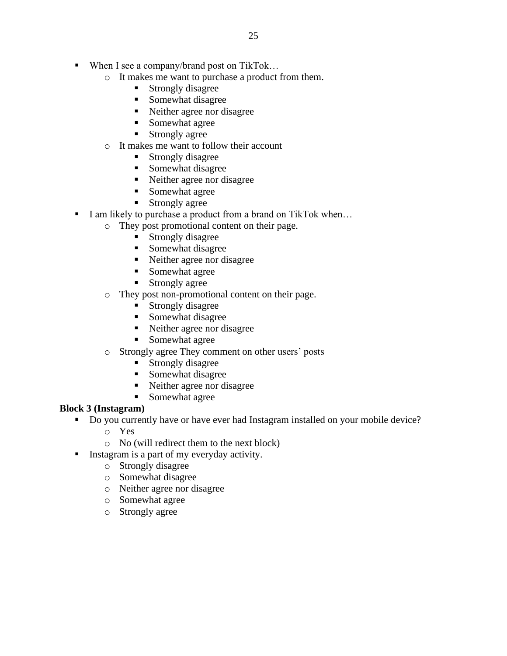- When I see a company/brand post on TikTok...
	- o It makes me want to purchase a product from them.
		- Strongly disagree
		- Somewhat disagree
		- Neither agree nor disagree
		- Somewhat agree
		- Strongly agree
	- o It makes me want to follow their account
		- Strongly disagree
		- Somewhat disagree
		- Neither agree nor disagree
		- Somewhat agree
		- Strongly agree
- I am likely to purchase a product from a brand on TikTok when...
	- o They post promotional content on their page.
		- Strongly disagree
		- Somewhat disagree
		- Neither agree nor disagree
		- Somewhat agree
		- **Exercise** Strongly agree
	- o They post non-promotional content on their page.
		- Strongly disagree
		- Somewhat disagree
		- Neither agree nor disagree
		- Somewhat agree
	- o Strongly agree They comment on other users' posts
		- **Example 1** Strongly disagree
		- Somewhat disagree
		- Neither agree nor disagree
		- Somewhat agree

## **Block 3 (Instagram)**

- Do you currently have or have ever had Instagram installed on your mobile device?
	- o Yes
	- o No (will redirect them to the next block)
	- Instagram is a part of my everyday activity.
		- o Strongly disagree
		- o Somewhat disagree
		- o Neither agree nor disagree
		- o Somewhat agree
		- o Strongly agree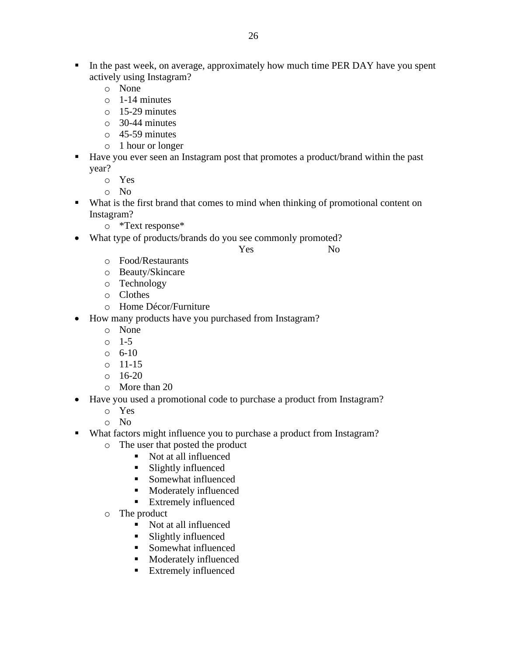- **I.** In the past week, on average, approximately how much time PER DAY have you spent actively using Instagram?
	- o None
	- o 1-14 minutes
	- o 15-29 minutes
	- o 30-44 minutes
	- o 45-59 minutes
	- o 1 hour or longer
- Have you ever seen an Instagram post that promotes a product/brand within the past year?
	- o Yes
	- o No
- What is the first brand that comes to mind when thinking of promotional content on Instagram?
	- o \*Text response\*
- What type of products/brands do you see commonly promoted?

Yes No

- o Food/Restaurants
- o Beauty/Skincare
- o Technology
- o Clothes
- o Home Décor/Furniture
- How many products have you purchased from Instagram?
	- o None
	- o 1-5
	- $0 \quad 6 10$
	- o 11-15
	- $0 \quad 16 20$
	- o More than 20
- Have you used a promotional code to purchase a product from Instagram?
	- o Yes
	- o No
- What factors might influence you to purchase a product from Instagram?
	- o The user that posted the product
		- Not at all influenced
		- Slightly influenced
		- Somewhat influenced
		- Moderately influenced
		- Extremely influenced
	- o The product
		- Not at all influenced
		- Slightly influenced
		- Somewhat influenced
		- Moderately influenced
		- Extremely influenced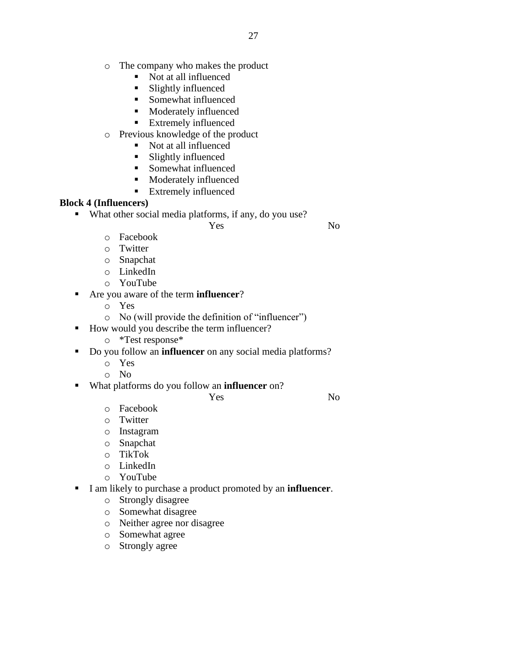- o The company who makes the product
	- Not at all influenced
	- Slightly influenced
	- Somewhat influenced
	- Moderately influenced
	- **Extremely influenced**
- o Previous knowledge of the product
	- Not at all influenced
	- Slightly influenced
	- Somewhat influenced
	- Moderately influenced
	- **Extremely influenced**

## **Block 4 (Influencers)**

▪ What other social media platforms, if any, do you use?

Yes No

- o Facebook
- o Twitter
- o Snapchat
- o LinkedIn
- o YouTube
- Are you aware of the term **influencer**?
	- o Yes
	- o No (will provide the definition of "influencer")
- How would you describe the term influencer?
	- o \*Test response\*
- Do you follow an **influencer** on any social media platforms?
	- o Yes
	- o No
- What platforms do you follow an **influencer** on?

Yes No

- o Facebook
- o Twitter
- o Instagram
- o Snapchat
- o TikTok
- o LinkedIn
- o YouTube
- I am likely to purchase a product promoted by an **influencer**.
	- o Strongly disagree
	- o Somewhat disagree
	- o Neither agree nor disagree
	- o Somewhat agree
	- o Strongly agree